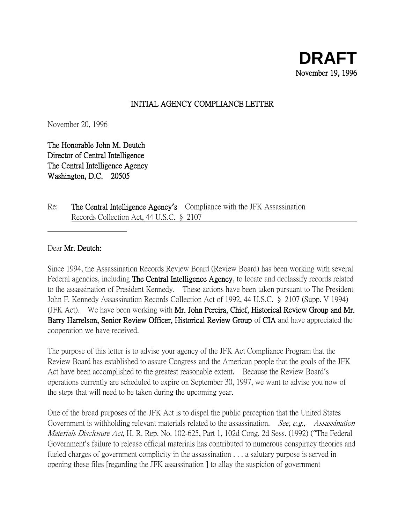### INITIAL AGENCY COMPLIANCE LETTER

November 20, 1996

The Honorable John M. Deutch Director of Central Intelligence The Central Intelligence Agency Washington, D.C. 20505

Re: The Central Intelligence Agency**'**s Compliance with the JFK Assassination Records Collection Act, 44 U.S.C. § 2107

#### Dear Mr. Deutch:

Since 1994, the Assassination Records Review Board (Review Board) has been working with several Federal agencies, including **The Central Intelligence Agency**, to locate and declassify records related to the assassination of President Kennedy. These actions have been taken pursuant to The President John F. Kennedy Assassination Records Collection Act of 1992, 44 U.S.C. § 2107 (Supp. V 1994) (JFK Act). We have been working with Mr. John Pereira, Chief, Historical Review Group and Mr. Barry Harrelson, Senior Review Officer, Historical Review Group of CIA and have appreciated the cooperation we have received.

The purpose of this letter is to advise your agency of the JFK Act Compliance Program that the Review Board has established to assure Congress and the American people that the goals of the JFK Act have been accomplished to the greatest reasonable extent. Because the Review Board's operations currently are scheduled to expire on September 30, 1997, we want to advise you now of the steps that will need to be taken during the upcoming year.

One of the broad purposes of the JFK Act is to dispel the public perception that the United States Government is withholding relevant materials related to the assassination. *See, e.g., Assassination* Materials Disclosure Act, H. R. Rep. No. 102-625, Part 1, 102d Cong. 2d Sess. (1992) ("The Federal Government's failure to release official materials has contributed to numerous conspiracy theories and fueled charges of government complicity in the assassination . . . a salutary purpose is served in opening these files [regarding the JFK assassination ] to allay the suspicion of government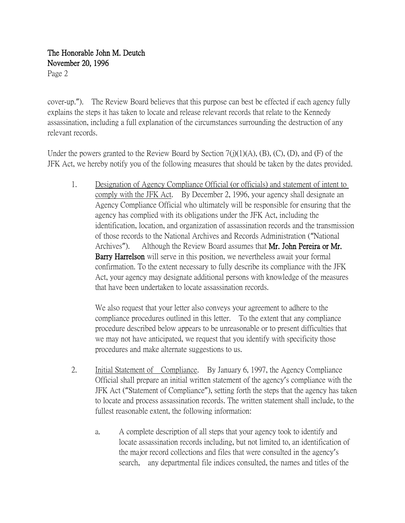# The Honorable John M. Deutch November 20, 1996

Page 2

cover-up."). The Review Board believes that this purpose can best be effected if each agency fully explains the steps it has taken to locate and release relevant records that relate to the Kennedy assassination, including a full explanation of the circumstances surrounding the destruction of any relevant records.

Under the powers granted to the Review Board by Section  $7(j)(1)(A)$ ,  $(B)$ ,  $(C)$ ,  $(D)$ , and  $(F)$  of the JFK Act, we hereby notify you of the following measures that should be taken by the dates provided.

1. Designation of Agency Compliance Official (or officials) and statement of intent to comply with the JFK Act. By December 2, 1996, your agency shall designate an Agency Compliance Official who ultimately will be responsible for ensuring that the agency has complied with its obligations under the JFK Act, including the identification, location, and organization of assassination records and the transmission of those records to the National Archives and Records Administration ("National Archives"). Although the Review Board assumes that Mr. John Pereira or Mr. Barry Harrelson will serve in this position, we nevertheless await your formal confirmation. To the extent necessary to fully describe its compliance with the JFK Act, your agency may designate additional persons with knowledge of the measures that have been undertaken to locate assassination records.

We also request that your letter also conveys your agreement to adhere to the compliance procedures outlined in this letter. To the extent that any compliance procedure described below appears to be unreasonable or to present difficulties that we may not have anticipated, we request that you identify with specificity those procedures and make alternate suggestions to us.

- 2. Initial Statement of Compliance. By January 6, 1997, the Agency Compliance Official shall prepare an initial written statement of the agency's compliance with the JFK Act ("Statement of Compliance"), setting forth the steps that the agency has taken to locate and process assassination records. The written statement shall include, to the fullest reasonable extent, the following information:
	- a. A complete description of all steps that your agency took to identify and locate assassination records including, but not limited to, an identification of the major record collections and files that were consulted in the agency's search, any departmental file indices consulted, the names and titles of the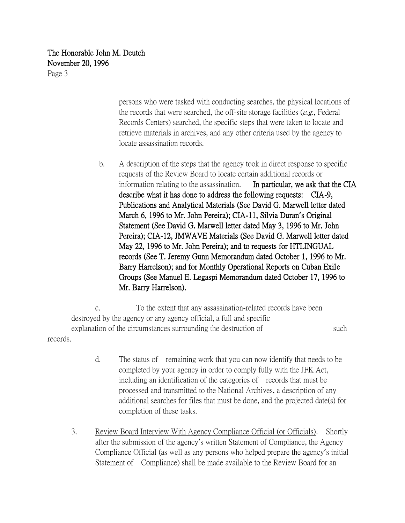## The Honorable John M. Deutch November 20, 1996

Page 3

persons who were tasked with conducting searches, the physical locations of the records that were searched, the off-site storage facilities  $(e.g.,$  Federal Records Centers) searched, the specific steps that were taken to locate and retrieve materials in archives, and any other criteria used by the agency to locate assassination records.

b. A description of the steps that the agency took in direct response to specific requests of the Review Board to locate certain additional records or information relating to the assassination. In particular, we ask that the CIA describe what it has done to address the following requests: CIA-9, Publications and Analytical Materials (See David G. Marwell letter dated March 6, 1996 to Mr. John Pereira); CIA-11, Silvia Duran**'**s Original Statement (See David G. Marwell letter dated May 3, 1996 to Mr. John Pereira); CIA-12, JMWAVE Materials (See David G. Marwell letter dated May 22, 1996 to Mr. John Pereira); and to requests for HTLINGUAL records (See T. Jeremy Gunn Memorandum dated October 1, 1996 to Mr. Barry Harrelson); and for Monthly Operational Reports on Cuban Exile Groups (See Manuel E. Legaspi Memorandum dated October 17, 1996 to Mr. Barry Harrelson).

c. To the extent that any assassination-related records have been destroyed by the agency or any agency official, a full and specific explanation of the circumstances surrounding the destruction of such such records.

- d. The status of remaining work that you can now identify that needs to be completed by your agency in order to comply fully with the JFK Act, including an identification of the categories of records that must be processed and transmitted to the National Archives, a description of any additional searches for files that must be done, and the projected date(s) for completion of these tasks.
- 3. Review Board Interview With Agency Compliance Official (or Officials). Shortly after the submission of the agency's written Statement of Compliance, the Agency Compliance Official (as well as any persons who helped prepare the agency's initial Statement of Compliance) shall be made available to the Review Board for an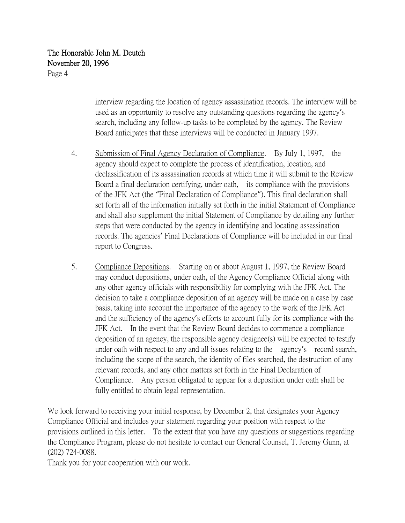## The Honorable John M. Deutch November 20, 1996

Page 4

interview regarding the location of agency assassination records. The interview will be used as an opportunity to resolve any outstanding questions regarding the agency's search, including any follow-up tasks to be completed by the agency. The Review Board anticipates that these interviews will be conducted in January 1997.

- 4. Submission of Final Agency Declaration of Compliance. By July 1, 1997, the agency should expect to complete the process of identification, location, and declassification of its assassination records at which time it will submit to the Review Board a final declaration certifying, under oath, its compliance with the provisions of the JFK Act (the "Final Declaration of Compliance"). This final declaration shall set forth all of the information initially set forth in the initial Statement of Compliance and shall also supplement the initial Statement of Compliance by detailing any further steps that were conducted by the agency in identifying and locating assassination records. The agencies' Final Declarations of Compliance will be included in our final report to Congress.
- 5. Compliance Depositions. Starting on or about August 1, 1997, the Review Board may conduct depositions, under oath, of the Agency Compliance Official along with any other agency officials with responsibility for complying with the JFK Act. The decision to take a compliance deposition of an agency will be made on a case by case basis, taking into account the importance of the agency to the work of the JFK Act and the sufficiency of the agency's efforts to account fully for its compliance with the JFK Act. In the event that the Review Board decides to commence a compliance deposition of an agency, the responsible agency designee(s) will be expected to testify under oath with respect to any and all issues relating to the agency's record search, including the scope of the search, the identity of files searched, the destruction of any relevant records, and any other matters set forth in the Final Declaration of Compliance. Any person obligated to appear for a deposition under oath shall be fully entitled to obtain legal representation.

We look forward to receiving your initial response, by December 2, that designates your Agency Compliance Official and includes your statement regarding your position with respect to the provisions outlined in this letter. To the extent that you have any questions or suggestions regarding the Compliance Program, please do not hesitate to contact our General Counsel, T. Jeremy Gunn, at (202) 724-0088.

Thank you for your cooperation with our work.